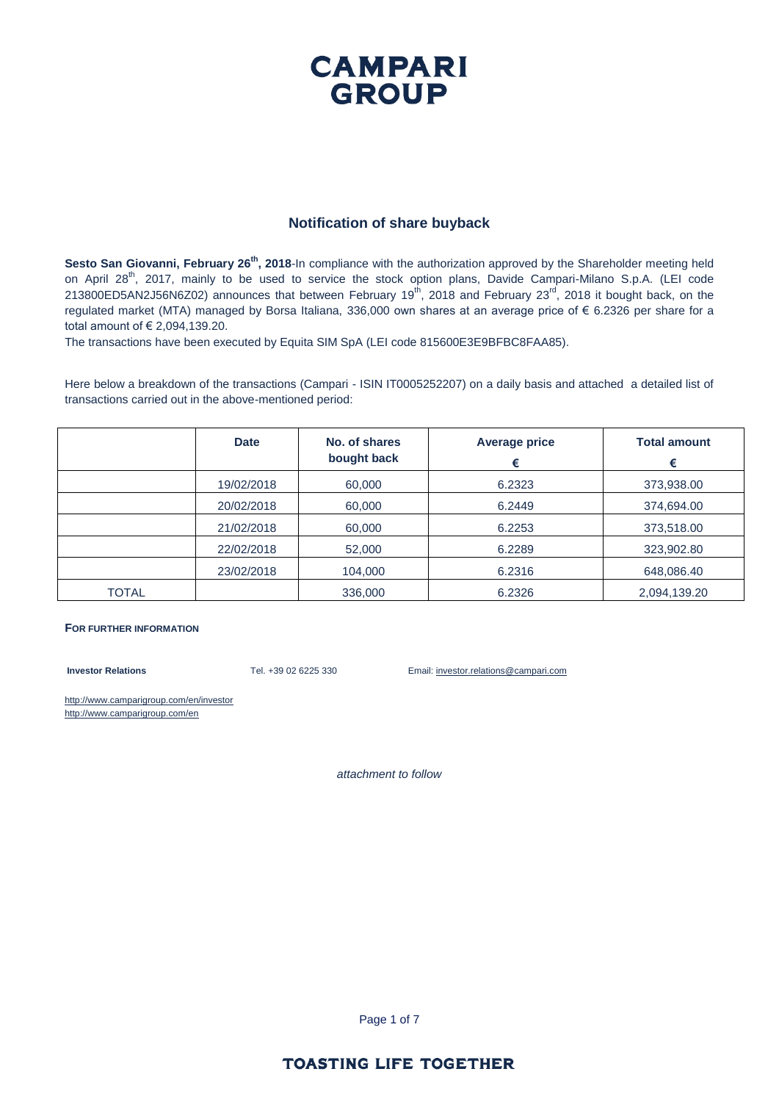### **CAMPARI GROUP**

#### **Notification of share buyback**

**Sesto San Giovanni, February 26th, 2018**-In compliance with the authorization approved by the Shareholder meeting held on April 28<sup>th</sup>, 2017, mainly to be used to service the stock option plans, Davide Campari-Milano S.p.A. (LEI code 213800ED5AN2J56N6Z02) announces that between February 19<sup>th</sup>, 2018 and February 23<sup>rd</sup>, 2018 it bought back, on the regulated market (MTA) managed by Borsa Italiana, 336,000 own shares at an average price of € 6.2326 per share for a total amount of € 2,094,139.20.

The transactions have been executed by Equita SIM SpA (LEI code 815600E3E9BFBC8FAA85).

Here below a breakdown of the transactions (Campari - ISIN IT0005252207) on a daily basis and attached a detailed list of transactions carried out in the above-mentioned period:

|              | <b>Date</b> | No. of shares<br>bought back | <b>Average price</b><br>€ | <b>Total amount</b><br>€ |
|--------------|-------------|------------------------------|---------------------------|--------------------------|
|              | 19/02/2018  | 60,000                       | 6.2323                    | 373,938.00               |
|              | 20/02/2018  | 60,000                       | 6.2449                    | 374,694.00               |
|              | 21/02/2018  | 60,000                       | 6.2253                    | 373,518.00               |
|              | 22/02/2018  | 52,000                       | 6.2289                    | 323,902.80               |
|              | 23/02/2018  | 104,000                      | 6.2316                    | 648,086.40               |
| <b>TOTAL</b> |             | 336,000                      | 6.2326                    | 2,094,139.20             |

#### **FOR FURTHER INFORMATION**

**Investor Relations** Tel. +39 02 6225 330 Email: investor.relations@campari.com

http://www.camparigroup.com/en/investor http://www.camparigroup.com/en

*attachment to follow*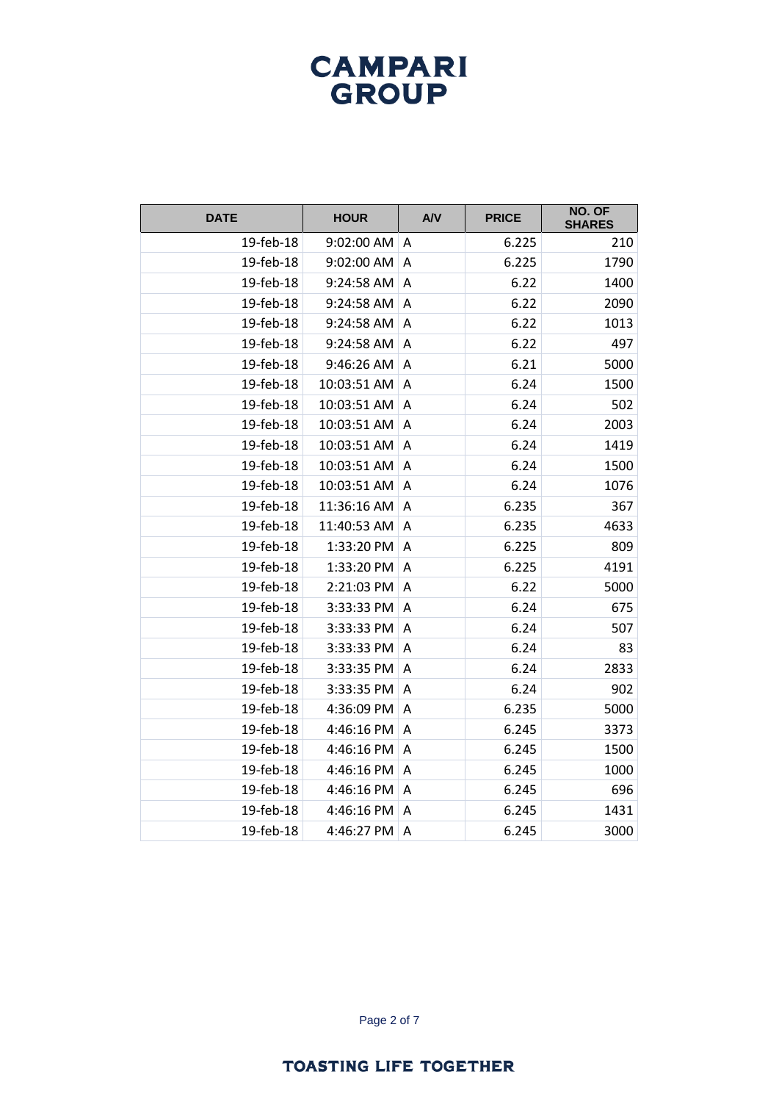| <b>DATE</b> | <b>HOUR</b> | A/V            | <b>PRICE</b> | NO. OF<br><b>SHARES</b> |
|-------------|-------------|----------------|--------------|-------------------------|
| 19-feb-18   | 9:02:00 AM  | A              | 6.225        | 210                     |
| 19-feb-18   | 9:02:00 AM  | A              | 6.225        | 1790                    |
| 19-feb-18   | 9:24:58 AM  | A              | 6.22         | 1400                    |
| 19-feb-18   | 9:24:58 AM  | A              | 6.22         | 2090                    |
| 19-feb-18   | 9:24:58 AM  | A              | 6.22         | 1013                    |
| 19-feb-18   | 9:24:58 AM  | A              | 6.22         | 497                     |
| 19-feb-18   | 9:46:26 AM  | A              | 6.21         | 5000                    |
| 19-feb-18   | 10:03:51 AM | A              | 6.24         | 1500                    |
| 19-feb-18   | 10:03:51 AM | A              | 6.24         | 502                     |
| 19-feb-18   | 10:03:51 AM | A              | 6.24         | 2003                    |
| 19-feb-18   | 10:03:51 AM | A              | 6.24         | 1419                    |
| 19-feb-18   | 10:03:51 AM | A              | 6.24         | 1500                    |
| 19-feb-18   | 10:03:51 AM | Α              | 6.24         | 1076                    |
| 19-feb-18   | 11:36:16 AM | A              | 6.235        | 367                     |
| 19-feb-18   | 11:40:53 AM | A              | 6.235        | 4633                    |
| 19-feb-18   | 1:33:20 PM  | A              | 6.225        | 809                     |
| 19-feb-18   | 1:33:20 PM  | $\overline{A}$ | 6.225        | 4191                    |
| 19-feb-18   | 2:21:03 PM  | A              | 6.22         | 5000                    |
| 19-feb-18   | 3:33:33 PM  | Α              | 6.24         | 675                     |
| 19-feb-18   | 3:33:33 PM  | $\overline{A}$ | 6.24         | 507                     |
| 19-feb-18   | 3:33:33 PM  | A              | 6.24         | 83                      |
| 19-feb-18   | 3:33:35 PM  | A              | 6.24         | 2833                    |
| 19-feb-18   | 3:33:35 PM  | A              | 6.24         | 902                     |
| 19-feb-18   | 4:36:09 PM  | A              | 6.235        | 5000                    |
| 19-feb-18   | 4:46:16 PM  | A              | 6.245        | 3373                    |
| 19-feb-18   | 4:46:16 PM  | Α              | 6.245        | 1500                    |
| 19-feb-18   | 4:46:16 PM  | A              | 6.245        | 1000                    |
| 19-feb-18   | 4:46:16 PM  | A              | 6.245        | 696                     |
| 19-feb-18   | 4:46:16 PM  | Α              | 6.245        | 1431                    |
| 19-feb-18   | 4:46:27 PM  | A              | 6.245        | 3000                    |

Page 2 of 7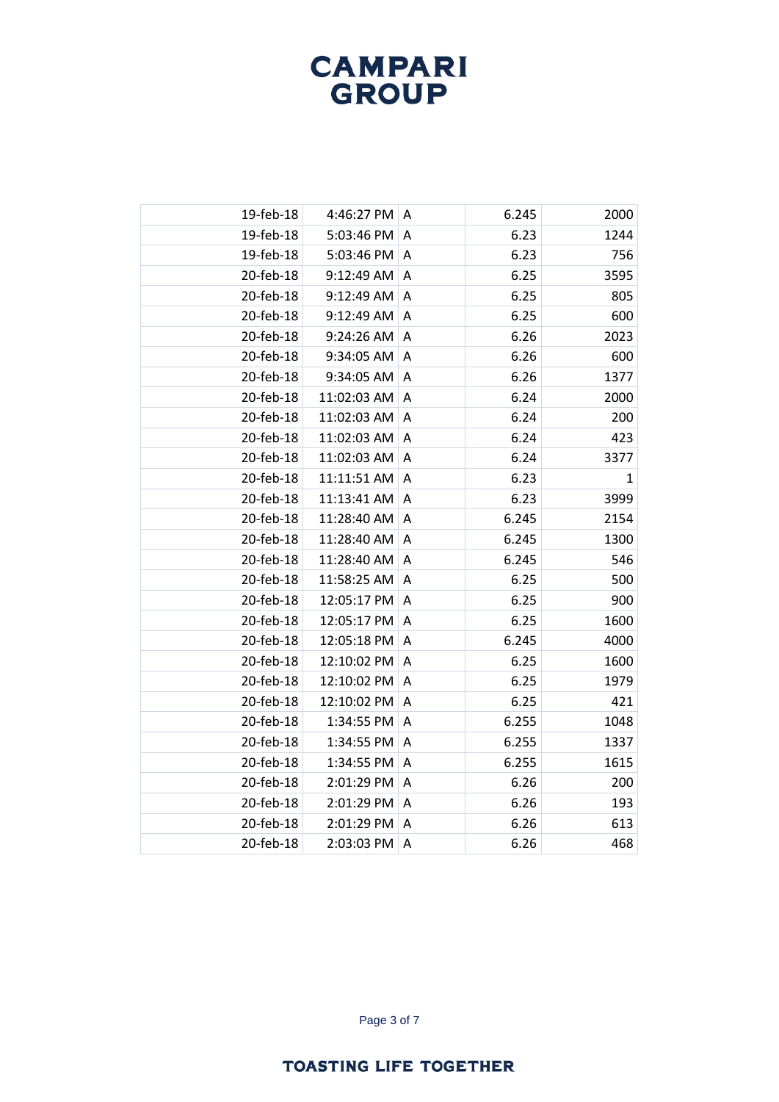| 19-feb-18 | 4:46:27 PM  | A              | 6.245 | 2000         |
|-----------|-------------|----------------|-------|--------------|
| 19-feb-18 | 5:03:46 PM  | Α              | 6.23  | 1244         |
| 19-feb-18 | 5:03:46 PM  | Α              | 6.23  | 756          |
| 20-feb-18 | 9:12:49 AM  | A              | 6.25  | 3595         |
| 20-feb-18 | 9:12:49 AM  | A              | 6.25  | 805          |
| 20-feb-18 | 9:12:49 AM  | A              | 6.25  | 600          |
| 20-feb-18 | 9:24:26 AM  | A              | 6.26  | 2023         |
| 20-feb-18 | 9:34:05 AM  | A              | 6.26  | 600          |
| 20-feb-18 | 9:34:05 AM  | Α              | 6.26  | 1377         |
| 20-feb-18 | 11:02:03 AM | Α              | 6.24  | 2000         |
| 20-feb-18 | 11:02:03 AM | A              | 6.24  | 200          |
| 20-feb-18 | 11:02:03 AM | A              | 6.24  | 423          |
| 20-feb-18 | 11:02:03 AM | Α              | 6.24  | 3377         |
| 20-feb-18 | 11:11:51 AM | A              | 6.23  | $\mathbf{1}$ |
| 20-feb-18 | 11:13:41 AM | A              | 6.23  | 3999         |
| 20-feb-18 | 11:28:40 AM | Α              | 6.245 | 2154         |
| 20-feb-18 | 11:28:40 AM | A              | 6.245 | 1300         |
| 20-feb-18 | 11:28:40 AM | A              | 6.245 | 546          |
| 20-feb-18 | 11:58:25 AM | Α              | 6.25  | 500          |
| 20-feb-18 | 12:05:17 PM | A              | 6.25  | 900          |
| 20-feb-18 | 12:05:17 PM | $\overline{A}$ | 6.25  | 1600         |
| 20-feb-18 | 12:05:18 PM | Α              | 6.245 | 4000         |
| 20-feb-18 | 12:10:02 PM | A              | 6.25  | 1600         |
| 20-feb-18 | 12:10:02 PM | A              | 6.25  | 1979         |
| 20-feb-18 | 12:10:02 PM | Α              | 6.25  | 421          |
| 20-feb-18 | 1:34:55 PM  | A              | 6.255 | 1048         |
| 20-feb-18 | 1:34:55 PM  | A              | 6.255 | 1337         |
| 20-feb-18 | 1:34:55 PM  | Α              | 6.255 | 1615         |
| 20-feb-18 | 2:01:29 PM  | Α              | 6.26  | 200          |
| 20-feb-18 | 2:01:29 PM  | Α              | 6.26  | 193          |
| 20-feb-18 | 2:01:29 PM  | Α              | 6.26  | 613          |
| 20-feb-18 | 2:03:03 PM  | A              | 6.26  | 468          |

Page 3 of 7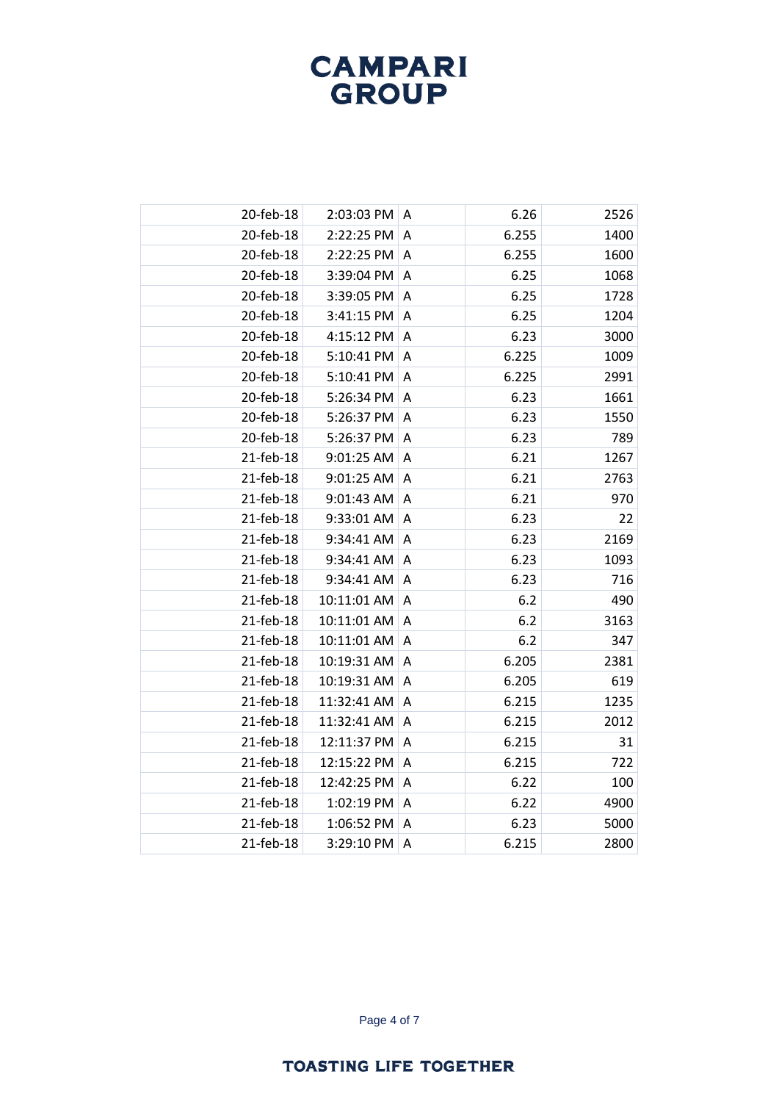| 20-feb-18 | 2:03:03 PM  | A | 6.26  | 2526 |
|-----------|-------------|---|-------|------|
| 20-feb-18 | 2:22:25 PM  | A | 6.255 | 1400 |
| 20-feb-18 | 2:22:25 PM  | A | 6.255 | 1600 |
| 20-feb-18 | 3:39:04 PM  | A | 6.25  | 1068 |
| 20-feb-18 | 3:39:05 PM  | A | 6.25  | 1728 |
| 20-feb-18 | 3:41:15 PM  | Α | 6.25  | 1204 |
| 20-feb-18 | 4:15:12 PM  | Α | 6.23  | 3000 |
| 20-feb-18 | 5:10:41 PM  | Α | 6.225 | 1009 |
| 20-feb-18 | 5:10:41 PM  | A | 6.225 | 2991 |
| 20-feb-18 | 5:26:34 PM  | A | 6.23  | 1661 |
| 20-feb-18 | 5:26:37 PM  | A | 6.23  | 1550 |
| 20-feb-18 | 5:26:37 PM  | Α | 6.23  | 789  |
| 21-feb-18 | 9:01:25 AM  | Α | 6.21  | 1267 |
| 21-feb-18 | 9:01:25 AM  | A | 6.21  | 2763 |
| 21-feb-18 | 9:01:43 AM  | A | 6.21  | 970  |
| 21-feb-18 | 9:33:01 AM  | A | 6.23  | 22   |
| 21-feb-18 | 9:34:41 AM  | A | 6.23  | 2169 |
| 21-feb-18 | 9:34:41 AM  | A | 6.23  | 1093 |
| 21-feb-18 | 9:34:41 AM  | Α | 6.23  | 716  |
| 21-feb-18 | 10:11:01 AM | A | 6.2   | 490  |
| 21-feb-18 | 10:11:01 AM | A | 6.2   | 3163 |
| 21-feb-18 | 10:11:01 AM | Α | 6.2   | 347  |
| 21-feb-18 | 10:19:31 AM | A | 6.205 | 2381 |
| 21-feb-18 | 10:19:31 AM | A | 6.205 | 619  |
| 21-feb-18 | 11:32:41 AM | Α | 6.215 | 1235 |
| 21-feb-18 | 11:32:41 AM | A | 6.215 | 2012 |
| 21-feb-18 | 12:11:37 PM | A | 6.215 | 31   |
| 21-feb-18 | 12:15:22 PM | Α | 6.215 | 722  |
| 21-feb-18 | 12:42:25 PM | Α | 6.22  | 100  |
| 21-feb-18 | 1:02:19 PM  | A | 6.22  | 4900 |
| 21-feb-18 | 1:06:52 PM  | Α | 6.23  | 5000 |
| 21-feb-18 | 3:29:10 PM  | A | 6.215 | 2800 |
|           |             |   |       |      |

Page 4 of 7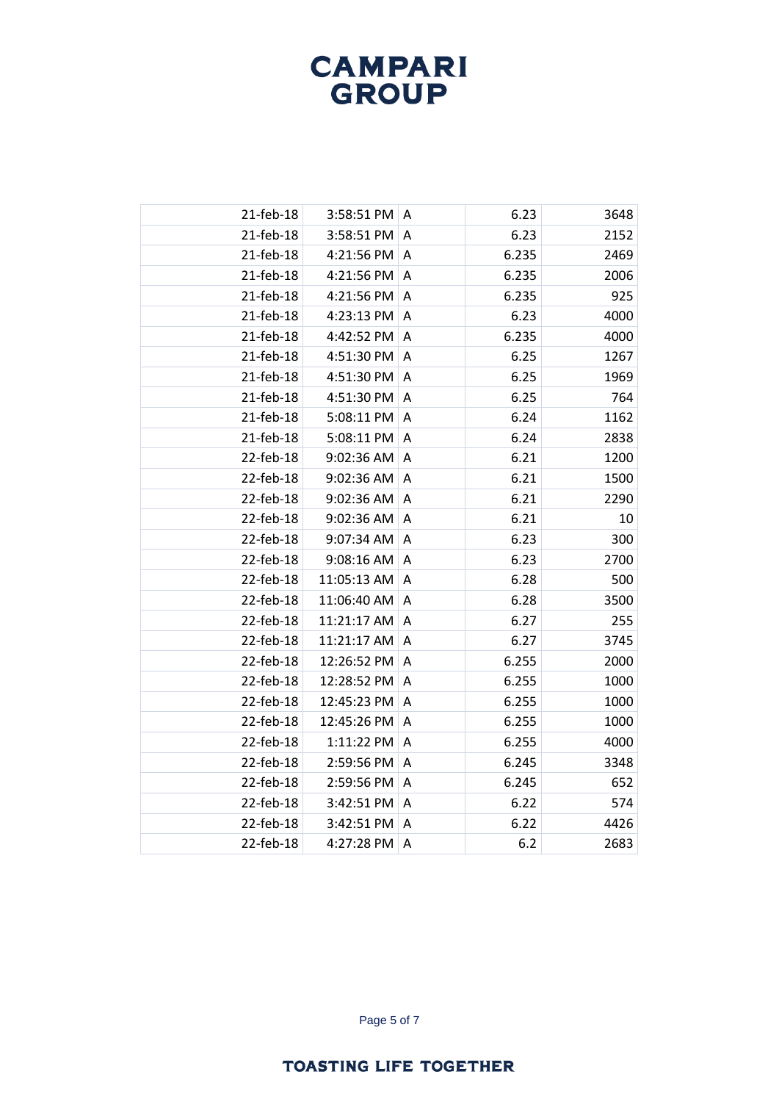| 21-feb-18 | 3:58:51 PM  | Α              | 6.23  | 3648 |
|-----------|-------------|----------------|-------|------|
| 21-feb-18 | 3:58:51 PM  | A              | 6.23  | 2152 |
| 21-feb-18 | 4:21:56 PM  | A              | 6.235 | 2469 |
| 21-feb-18 | 4:21:56 PM  | Α              | 6.235 | 2006 |
| 21-feb-18 | 4:21:56 PM  | A              | 6.235 | 925  |
| 21-feb-18 | 4:23:13 PM  | A              | 6.23  | 4000 |
| 21-feb-18 | 4:42:52 PM  | A              | 6.235 | 4000 |
| 21-feb-18 | 4:51:30 PM  | A              | 6.25  | 1267 |
| 21-feb-18 | 4:51:30 PM  | A              | 6.25  | 1969 |
| 21-feb-18 | 4:51:30 PM  | A              | 6.25  | 764  |
| 21-feb-18 | 5:08:11 PM  | A              | 6.24  | 1162 |
| 21-feb-18 | 5:08:11 PM  | Α              | 6.24  | 2838 |
| 22-feb-18 | 9:02:36 AM  | Α              | 6.21  | 1200 |
| 22-feb-18 | 9:02:36 AM  | A              | 6.21  | 1500 |
| 22-feb-18 | 9:02:36 AM  | A              | 6.21  | 2290 |
| 22-feb-18 | 9:02:36 AM  | Α              | 6.21  | 10   |
| 22-feb-18 | 9:07:34 AM  | A              | 6.23  | 300  |
| 22-feb-18 | 9:08:16 AM  | $\overline{A}$ | 6.23  | 2700 |
| 22-feb-18 | 11:05:13 AM | A              | 6.28  | 500  |
| 22-feb-18 | 11:06:40 AM | A              | 6.28  | 3500 |
| 22-feb-18 | 11:21:17 AM | A              | 6.27  | 255  |
| 22-feb-18 | 11:21:17 AM | A              | 6.27  | 3745 |
| 22-feb-18 | 12:26:52 PM | A              | 6.255 | 2000 |
| 22-feb-18 | 12:28:52 PM | A              | 6.255 | 1000 |
| 22-feb-18 | 12:45:23 PM | Α              | 6.255 | 1000 |
| 22-feb-18 | 12:45:26 PM | A              | 6.255 | 1000 |
| 22-feb-18 | 1:11:22 PM  | Α              | 6.255 | 4000 |
| 22-feb-18 | 2:59:56 PM  | A              | 6.245 | 3348 |
| 22-feb-18 | 2:59:56 PM  | A              | 6.245 | 652  |
| 22-feb-18 | 3:42:51 PM  | A              | 6.22  | 574  |
| 22-feb-18 | 3:42:51 PM  | Α              | 6.22  | 4426 |
| 22-feb-18 | 4:27:28 PM  | A              | 6.2   | 2683 |
|           |             |                |       |      |

Page 5 of 7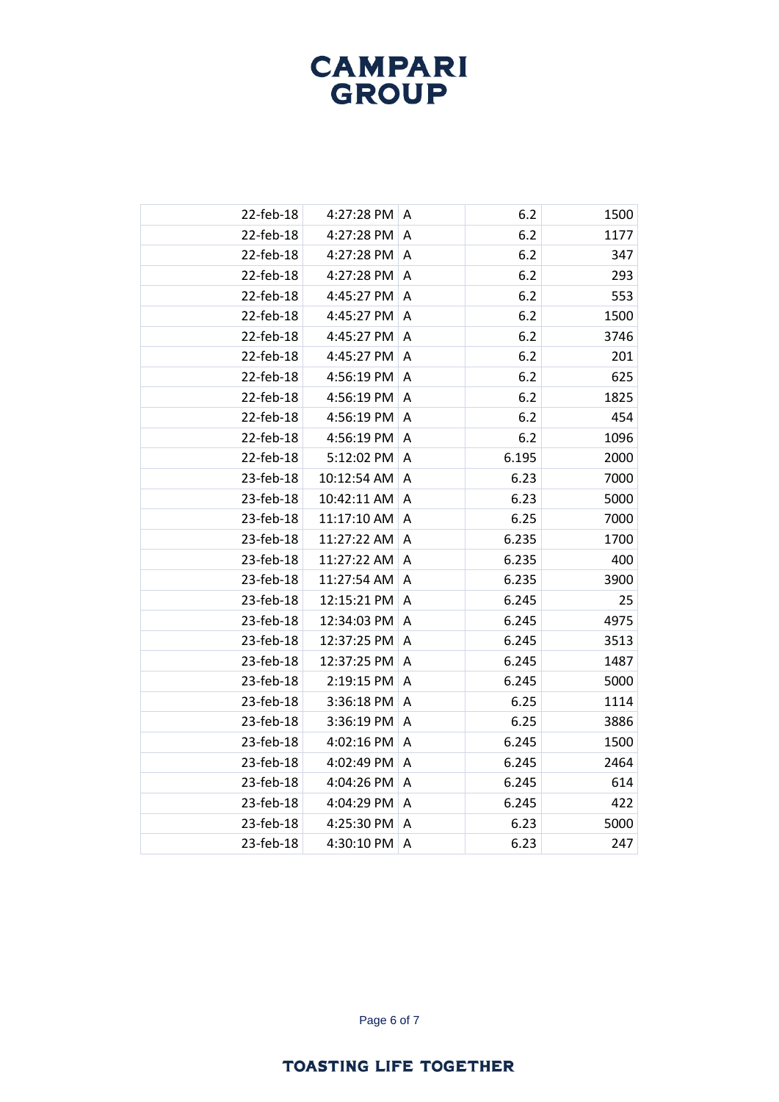| 22-feb-18 | 4:27:28 PM  | A | 6.2   | 1500 |
|-----------|-------------|---|-------|------|
| 22-feb-18 | 4:27:28 PM  | Α | 6.2   | 1177 |
| 22-feb-18 | 4:27:28 PM  | A | 6.2   | 347  |
| 22-feb-18 | 4:27:28 PM  | A | 6.2   | 293  |
| 22-feb-18 | 4:45:27 PM  | A | 6.2   | 553  |
| 22-feb-18 | 4:45:27 PM  | Α | 6.2   | 1500 |
| 22-feb-18 | 4:45:27 PM  | Α | 6.2   | 3746 |
| 22-feb-18 | 4:45:27 PM  | Α | 6.2   | 201  |
| 22-feb-18 | 4:56:19 PM  | A | 6.2   | 625  |
| 22-feb-18 | 4:56:19 PM  | A | 6.2   | 1825 |
| 22-feb-18 | 4:56:19 PM  | A | 6.2   | 454  |
| 22-feb-18 | 4:56:19 PM  | Α | 6.2   | 1096 |
| 22-feb-18 | 5:12:02 PM  | Α | 6.195 | 2000 |
| 23-feb-18 | 10:12:54 AM | A | 6.23  | 7000 |
| 23-feb-18 | 10:42:11 AM | A | 6.23  | 5000 |
| 23-feb-18 | 11:17:10 AM | A | 6.25  | 7000 |
| 23-feb-18 | 11:27:22 AM | A | 6.235 | 1700 |
| 23-feb-18 | 11:27:22 AM | A | 6.235 | 400  |
| 23-feb-18 | 11:27:54 AM | Α | 6.235 | 3900 |
| 23-feb-18 | 12:15:21 PM | A | 6.245 | 25   |
| 23-feb-18 | 12:34:03 PM | A | 6.245 | 4975 |
| 23-feb-18 | 12:37:25 PM | Α | 6.245 | 3513 |
| 23-feb-18 | 12:37:25 PM | A | 6.245 | 1487 |
| 23-feb-18 | 2:19:15 PM  | A | 6.245 | 5000 |
| 23-feb-18 | 3:36:18 PM  | Α | 6.25  | 1114 |
| 23-feb-18 | 3:36:19 PM  | A | 6.25  | 3886 |
| 23-feb-18 | 4:02:16 PM  | A | 6.245 | 1500 |
| 23-feb-18 | 4:02:49 PM  | Α | 6.245 | 2464 |
| 23-feb-18 | 4:04:26 PM  | Α | 6.245 | 614  |
| 23-feb-18 | 4:04:29 PM  | A | 6.245 | 422  |
| 23-feb-18 | 4:25:30 PM  | Α | 6.23  | 5000 |
| 23-feb-18 | 4:30:10 PM  | A | 6.23  | 247  |
|           |             |   |       |      |

Page 6 of 7